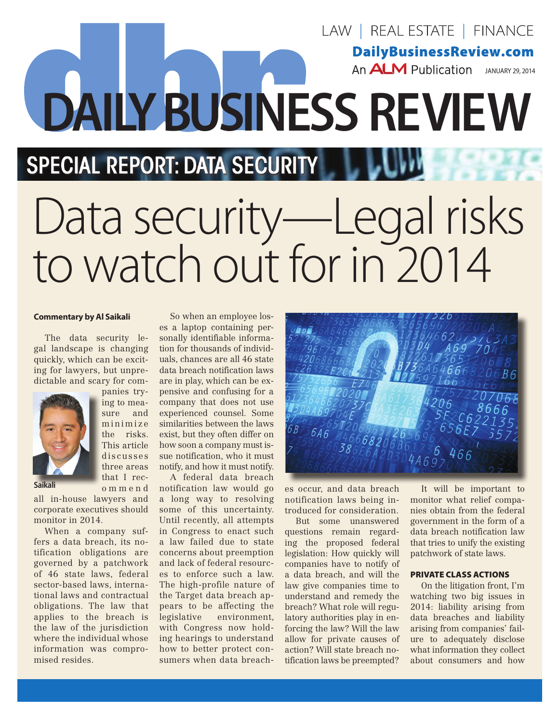## **DailyBusinessReview.com** An  $ALM$  Publication JANUARY 29, 2014 j **DAILY BUSINESS REVIEW SPECIAL REPORT: DATA SECURITY** Data security—Legal risks to watch out for in 2014

## **Commentary by Al Saikali**

The data security legal landscape is changing quickly, which can be exciting for lawyers, but unpredictable and scary for companies try-



ing to measure and minimize the risks. This article discusses three areas that I reco m m e n d

**Saikali**

all in-house lawyers and corporate executives should monitor in 2014.

When a company suffers a data breach, its notification obligations are governed by a patchwork of 46 state laws, federal sector-based laws, international laws and contractual obligations. The law that applies to the breach is the law of the jurisdiction where the individual whose information was compromised resides.

So when an employee loses a laptop containing personally identifiable information for thousands of individuals, chances are all 46 state data breach notification laws are in play, which can be expensive and confusing for a company that does not use experienced counsel. Some similarities between the laws exist, but they often differ on how soon a company must issue notification, who it must notify, and how it must notify.

A federal data breach notification law would go a long way to resolving some of this uncertainty. Until recently, all attempts in Congress to enact such a law failed due to state concerns about preemption and lack of federal resources to enforce such a law. The high-profile nature of the Target data breach appears to be affecting the legislative environment, with Congress now holding hearings to understand how to better protect consumers when data breach-



LAW | REAL ESTATE | FINANCE

es occur, and data breach notification laws being introduced for consideration.

But some unanswered questions remain regarding the proposed federal legislation: How quickly will companies have to notify of a data breach, and will the law give companies time to understand and remedy the breach? What role will regulatory authorities play in enforcing the law? Will the law allow for private causes of action? Will state breach notification laws be preempted?

It will be important to monitor what relief companies obtain from the federal government in the form of a data breach notification law that tries to unify the existing patchwork of state laws.

## PRIVATE CLASS ACTIONS

On the litigation front, I'm watching two big issues in 2014: liability arising from data breaches and liability arising from companies' failure to adequately disclose what information they collect about consumers and how